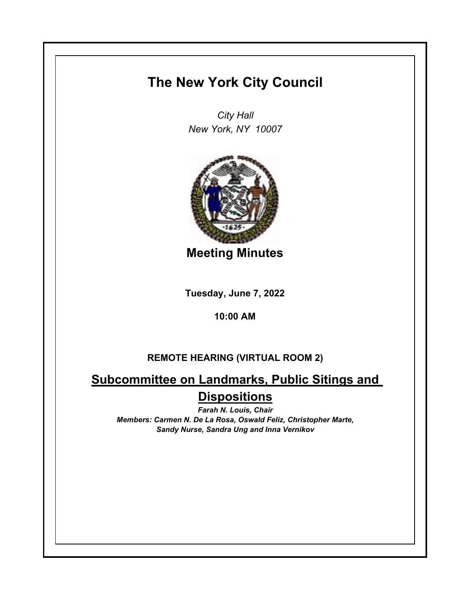## **The New York City Council**

*City Hall New York, NY 10007*



**Meeting Minutes**

**Tuesday, June 7, 2022**

**10:00 AM**

## **REMOTE HEARING (VIRTUAL ROOM 2)**

## **Subcommittee on Landmarks, Public Sitings and Dispositions**

*Farah N. Louis, Chair Members: Carmen N. De La Rosa, Oswald Feliz, Christopher Marte, Sandy Nurse, Sandra Ung and Inna Vernikov*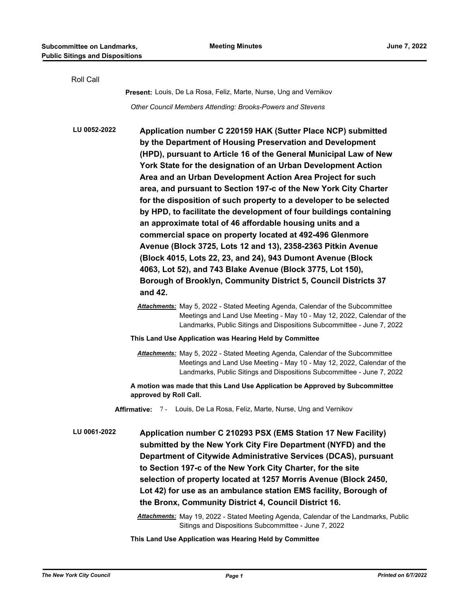| Roll Call    |                                                                                                                                                                                                                                                                                                                                                                                                                                                                                                                                                                                                                                                                                                                                                                                                                                                                                                                                                   |
|--------------|---------------------------------------------------------------------------------------------------------------------------------------------------------------------------------------------------------------------------------------------------------------------------------------------------------------------------------------------------------------------------------------------------------------------------------------------------------------------------------------------------------------------------------------------------------------------------------------------------------------------------------------------------------------------------------------------------------------------------------------------------------------------------------------------------------------------------------------------------------------------------------------------------------------------------------------------------|
|              | <b>Present:</b> Louis, De La Rosa, Feliz, Marte, Nurse, Ung and Vernikov                                                                                                                                                                                                                                                                                                                                                                                                                                                                                                                                                                                                                                                                                                                                                                                                                                                                          |
|              | Other Council Members Attending: Brooks-Powers and Stevens                                                                                                                                                                                                                                                                                                                                                                                                                                                                                                                                                                                                                                                                                                                                                                                                                                                                                        |
| LU 0052-2022 | Application number C 220159 HAK (Sutter Place NCP) submitted<br>by the Department of Housing Preservation and Development<br>(HPD), pursuant to Article 16 of the General Municipal Law of New<br>York State for the designation of an Urban Development Action<br>Area and an Urban Development Action Area Project for such<br>area, and pursuant to Section 197-c of the New York City Charter<br>for the disposition of such property to a developer to be selected<br>by HPD, to facilitate the development of four buildings containing<br>an approximate total of 46 affordable housing units and a<br>commercial space on property located at 492-496 Glenmore<br>Avenue (Block 3725, Lots 12 and 13), 2358-2363 Pitkin Avenue<br>(Block 4015, Lots 22, 23, and 24), 943 Dumont Avenue (Block<br>4063, Lot 52), and 743 Blake Avenue (Block 3775, Lot 150),<br>Borough of Brooklyn, Community District 5, Council Districts 37<br>and 42. |
|              | <b>Attachments:</b> May 5, 2022 - Stated Meeting Agenda, Calendar of the Subcommittee<br>Meetings and Land Use Meeting - May 10 - May 12, 2022, Calendar of the<br>Landmarks, Public Sitings and Dispositions Subcommittee - June 7, 2022                                                                                                                                                                                                                                                                                                                                                                                                                                                                                                                                                                                                                                                                                                         |
|              | This Land Use Application was Hearing Held by Committee                                                                                                                                                                                                                                                                                                                                                                                                                                                                                                                                                                                                                                                                                                                                                                                                                                                                                           |
|              | <b>Attachments:</b> May 5, 2022 - Stated Meeting Agenda, Calendar of the Subcommittee<br>Meetings and Land Use Meeting - May 10 - May 12, 2022, Calendar of the<br>Landmarks, Public Sitings and Dispositions Subcommittee - June 7, 2022                                                                                                                                                                                                                                                                                                                                                                                                                                                                                                                                                                                                                                                                                                         |
|              | A motion was made that this Land Use Application be Approved by Subcommittee<br>approved by Roll Call.                                                                                                                                                                                                                                                                                                                                                                                                                                                                                                                                                                                                                                                                                                                                                                                                                                            |
|              | Affirmative: 7 - Louis, De La Rosa, Feliz, Marte, Nurse, Ung and Vernikov                                                                                                                                                                                                                                                                                                                                                                                                                                                                                                                                                                                                                                                                                                                                                                                                                                                                         |
| LU 0061-2022 | Application number C 210293 PSX (EMS Station 17 New Facility)<br>submitted by the New York City Fire Department (NYFD) and the<br>Department of Citywide Administrative Services (DCAS), pursuant<br>to Section 197-c of the New York City Charter, for the site<br>selection of property located at 1257 Morris Avenue (Block 2450,<br>Lot 42) for use as an ambulance station EMS facility, Borough of<br>the Bronx, Community District 4, Council District 16.                                                                                                                                                                                                                                                                                                                                                                                                                                                                                 |
|              | Attachments: May 19, 2022 - Stated Meeting Agenda, Calendar of the Landmarks, Public<br>Sitings and Dispositions Subcommittee - June 7, 2022                                                                                                                                                                                                                                                                                                                                                                                                                                                                                                                                                                                                                                                                                                                                                                                                      |

**This Land Use Application was Hearing Held by Committee**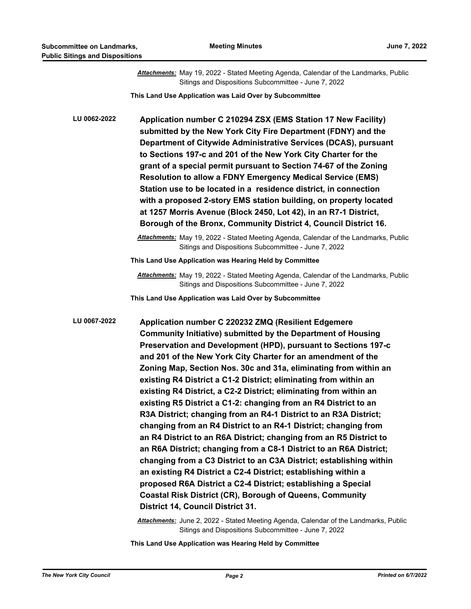|              | Attachments: May 19, 2022 - Stated Meeting Agenda, Calendar of the Landmarks, Public<br>Sitings and Dispositions Subcommittee - June 7, 2022                                                                                                                                                                                                                                                                                                                                                                                                                                                                                                                                                                                                                                                                                                                                                                                                                                                                                                                                                                                                             |
|--------------|----------------------------------------------------------------------------------------------------------------------------------------------------------------------------------------------------------------------------------------------------------------------------------------------------------------------------------------------------------------------------------------------------------------------------------------------------------------------------------------------------------------------------------------------------------------------------------------------------------------------------------------------------------------------------------------------------------------------------------------------------------------------------------------------------------------------------------------------------------------------------------------------------------------------------------------------------------------------------------------------------------------------------------------------------------------------------------------------------------------------------------------------------------|
|              | This Land Use Application was Laid Over by Subcommittee                                                                                                                                                                                                                                                                                                                                                                                                                                                                                                                                                                                                                                                                                                                                                                                                                                                                                                                                                                                                                                                                                                  |
| LU 0062-2022 | Application number C 210294 ZSX (EMS Station 17 New Facility)<br>submitted by the New York City Fire Department (FDNY) and the<br>Department of Citywide Administrative Services (DCAS), pursuant<br>to Sections 197-c and 201 of the New York City Charter for the<br>grant of a special permit pursuant to Section 74-67 of the Zoning<br><b>Resolution to allow a FDNY Emergency Medical Service (EMS)</b><br>Station use to be located in a residence district, in connection<br>with a proposed 2-story EMS station building, on property located<br>at 1257 Morris Avenue (Block 2450, Lot 42), in an R7-1 District,<br>Borough of the Bronx, Community District 4, Council District 16.                                                                                                                                                                                                                                                                                                                                                                                                                                                           |
|              | Attachments: May 19, 2022 - Stated Meeting Agenda, Calendar of the Landmarks, Public<br>Sitings and Dispositions Subcommittee - June 7, 2022                                                                                                                                                                                                                                                                                                                                                                                                                                                                                                                                                                                                                                                                                                                                                                                                                                                                                                                                                                                                             |
|              | This Land Use Application was Hearing Held by Committee                                                                                                                                                                                                                                                                                                                                                                                                                                                                                                                                                                                                                                                                                                                                                                                                                                                                                                                                                                                                                                                                                                  |
|              | <b>Attachments:</b> May 19, 2022 - Stated Meeting Agenda, Calendar of the Landmarks, Public<br>Sitings and Dispositions Subcommittee - June 7, 2022                                                                                                                                                                                                                                                                                                                                                                                                                                                                                                                                                                                                                                                                                                                                                                                                                                                                                                                                                                                                      |
|              | This Land Use Application was Laid Over by Subcommittee                                                                                                                                                                                                                                                                                                                                                                                                                                                                                                                                                                                                                                                                                                                                                                                                                                                                                                                                                                                                                                                                                                  |
| LU 0067-2022 | Application number C 220232 ZMQ (Resilient Edgemere<br><b>Community Initiative) submitted by the Department of Housing</b><br>Preservation and Development (HPD), pursuant to Sections 197-c<br>and 201 of the New York City Charter for an amendment of the<br>Zoning Map, Section Nos. 30c and 31a, eliminating from within an<br>existing R4 District a C1-2 District; eliminating from within an<br>existing R4 District, a C2-2 District; eliminating from within an<br>existing R5 District a C1-2: changing from an R4 District to an<br>R3A District; changing from an R4-1 District to an R3A District;<br>changing from an R4 District to an R4-1 District; changing from<br>an R4 District to an R6A District; changing from an R5 District to<br>an R6A District; changing from a C8-1 District to an R6A District;<br>changing from a C3 District to an C3A District; establishing within<br>an existing R4 District a C2-4 District; establishing within a<br>proposed R6A District a C2-4 District; establishing a Special<br><b>Coastal Risk District (CR), Borough of Queens, Community</b><br><b>District 14, Council District 31.</b> |

*Attachments:* June 2, 2022 - Stated Meeting Agenda, Calendar of the Landmarks, Public Sitings and Dispositions Subcommittee - June 7, 2022

**This Land Use Application was Hearing Held by Committee**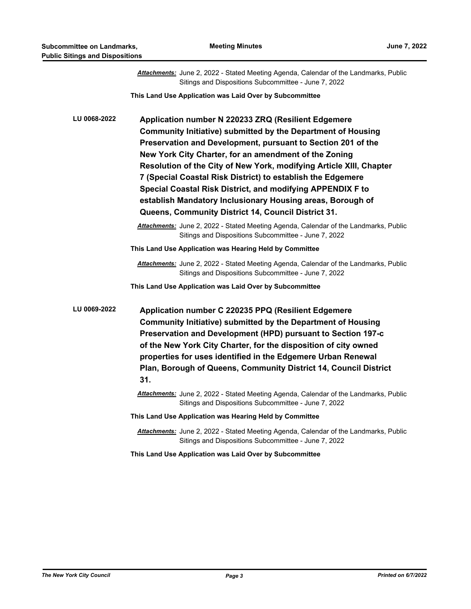|              | Attachments: June 2, 2022 - Stated Meeting Agenda, Calendar of the Landmarks, Public<br>Sitings and Dispositions Subcommittee - June 7, 2022                                                                                                                                                                                                                                                                                                                                                                                                                          |
|--------------|-----------------------------------------------------------------------------------------------------------------------------------------------------------------------------------------------------------------------------------------------------------------------------------------------------------------------------------------------------------------------------------------------------------------------------------------------------------------------------------------------------------------------------------------------------------------------|
|              | This Land Use Application was Laid Over by Subcommittee                                                                                                                                                                                                                                                                                                                                                                                                                                                                                                               |
| LU 0068-2022 | Application number N 220233 ZRQ (Resilient Edgemere<br>Community Initiative) submitted by the Department of Housing<br>Preservation and Development, pursuant to Section 201 of the<br>New York City Charter, for an amendment of the Zoning<br>Resolution of the City of New York, modifying Article XIII, Chapter<br>7 (Special Coastal Risk District) to establish the Edgemere<br>Special Coastal Risk District, and modifying APPENDIX F to<br>establish Mandatory Inclusionary Housing areas, Borough of<br>Queens, Community District 14, Council District 31. |
|              | Attachments: June 2, 2022 - Stated Meeting Agenda, Calendar of the Landmarks, Public<br>Sitings and Dispositions Subcommittee - June 7, 2022                                                                                                                                                                                                                                                                                                                                                                                                                          |
|              | This Land Use Application was Hearing Held by Committee                                                                                                                                                                                                                                                                                                                                                                                                                                                                                                               |
|              | Attachments: June 2, 2022 - Stated Meeting Agenda, Calendar of the Landmarks, Public<br>Sitings and Dispositions Subcommittee - June 7, 2022                                                                                                                                                                                                                                                                                                                                                                                                                          |
|              | This Land Use Application was Laid Over by Subcommittee                                                                                                                                                                                                                                                                                                                                                                                                                                                                                                               |
| LU 0069-2022 | Application number C 220235 PPQ (Resilient Edgemere<br>Community Initiative) submitted by the Department of Housing<br>Preservation and Development (HPD) pursuant to Section 197-c<br>of the New York City Charter, for the disposition of city owned<br>properties for uses identified in the Edgemere Urban Renewal<br>Plan, Borough of Queens, Community District 14, Council District<br>31.                                                                                                                                                                     |
|              | Attachments: June 2, 2022 - Stated Meeting Agenda, Calendar of the Landmarks, Public<br>Sitings and Dispositions Subcommittee - June 7, 2022                                                                                                                                                                                                                                                                                                                                                                                                                          |
|              | This Land Use Application was Hearing Held by Committee                                                                                                                                                                                                                                                                                                                                                                                                                                                                                                               |
|              | Attachments: June 2, 2022 - Stated Meeting Agenda, Calendar of the Landmarks, Public<br>Sitings and Dispositions Subcommittee - June 7, 2022                                                                                                                                                                                                                                                                                                                                                                                                                          |
|              | This Land Use Application was Laid Over by Subcommittee                                                                                                                                                                                                                                                                                                                                                                                                                                                                                                               |